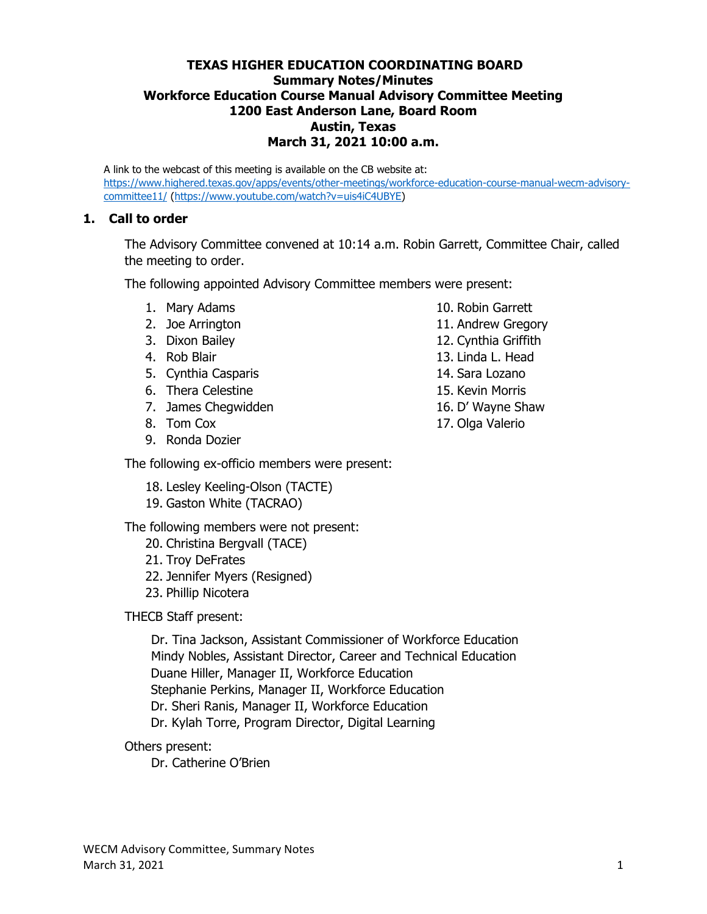#### **TEXAS HIGHER EDUCATION COORDINATING BOARD Summary Notes/Minutes Workforce Education Course Manual Advisory Committee Meeting 1200 East Anderson Lane, Board Room Austin, Texas March 31, 2021 10:00 a.m.**

A link to the webcast of this meeting is available on the CB website at: [https://www.highered.texas.gov/apps/events/other-meetings/workforce-education-course-manual-wecm-advisory](https://www.highered.texas.gov/apps/events/other-meetings/workforce-education-course-manual-wecm-advisory-committee11/)[committee11/](https://www.highered.texas.gov/apps/events/other-meetings/workforce-education-course-manual-wecm-advisory-committee11/) [\(https://www.youtube.com/watch?v=uis4iC4UBYE\)](https://www.youtube.com/watch?v=uis4iC4UBYE)

#### **1. Call to order**

The Advisory Committee convened at 10:14 a.m. Robin Garrett, Committee Chair, called the meeting to order.

The following appointed Advisory Committee members were present:

- 1. Mary Adams
- 2. Joe Arrington
- 3. Dixon Bailey
- 4. Rob Blair
- 5. Cynthia Casparis
- 6. Thera Celestine
- 7. James Chegwidden
- 8. Tom Cox
- 9. Ronda Dozier

The following ex-officio members were present:

- 18. Lesley Keeling-Olson (TACTE)
- 19. Gaston White (TACRAO)

The following members were not present:

- 20. Christina Bergvall (TACE)
- 21. Troy DeFrates
- 22. Jennifer Myers (Resigned)
- 23. Phillip Nicotera

THECB Staff present:

Dr. Tina Jackson, Assistant Commissioner of Workforce Education Mindy Nobles, Assistant Director, Career and Technical Education Duane Hiller, Manager II, Workforce Education Stephanie Perkins, Manager II, Workforce Education Dr. Sheri Ranis, Manager II, Workforce Education Dr. Kylah Torre, Program Director, Digital Learning

#### Others present:

Dr. Catherine O'Brien

- 10. Robin Garrett
- 11. Andrew Gregory
- 12. Cynthia Griffith
- 13. Linda L. Head
- 14. Sara Lozano
- 15. Kevin Morris
- 16. D' Wayne Shaw
- 17. Olga Valerio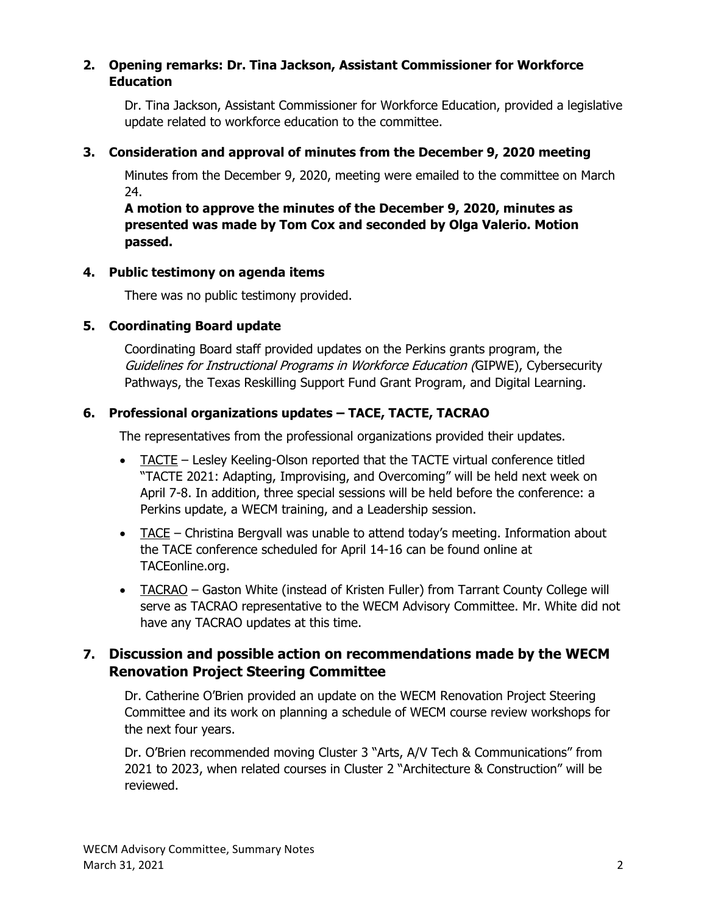### **2. Opening remarks: Dr. Tina Jackson, Assistant Commissioner for Workforce Education**

Dr. Tina Jackson, Assistant Commissioner for Workforce Education, provided a legislative update related to workforce education to the committee.

# **3. Consideration and approval of minutes from the December 9, 2020 meeting**

Minutes from the December 9, 2020, meeting were emailed to the committee on March 24.

**A motion to approve the minutes of the December 9, 2020, minutes as presented was made by Tom Cox and seconded by Olga Valerio. Motion passed.**

# **4. Public testimony on agenda items**

There was no public testimony provided.

# **5. Coordinating Board update**

Coordinating Board staff provided updates on the Perkins grants program, the Guidelines for Instructional Programs in Workforce Education (GIPWE), Cybersecurity Pathways, the Texas Reskilling Support Fund Grant Program, and Digital Learning.

# **6. Professional organizations updates – TACE, TACTE, TACRAO**

The representatives from the professional organizations provided their updates.

- TACTE Lesley Keeling-Olson reported that the TACTE virtual conference titled "TACTE 2021: Adapting, Improvising, and Overcoming" will be held next week on April 7-8. In addition, three special sessions will be held before the conference: a Perkins update, a WECM training, and a Leadership session.
- TACE Christina Bergvall was unable to attend today's meeting. Information about the TACE conference scheduled for April 14-16 can be found online at TACEonline.org.
- TACRAO Gaston White (instead of Kristen Fuller) from Tarrant County College will serve as TACRAO representative to the WECM Advisory Committee. Mr. White did not have any TACRAO updates at this time.

# **7. Discussion and possible action on recommendations made by the WECM Renovation Project Steering Committee**

Dr. Catherine O'Brien provided an update on the WECM Renovation Project Steering Committee and its work on planning a schedule of WECM course review workshops for the next four years.

Dr. O'Brien recommended moving Cluster 3 "Arts, A/V Tech & Communications" from 2021 to 2023, when related courses in Cluster 2 "Architecture & Construction" will be reviewed.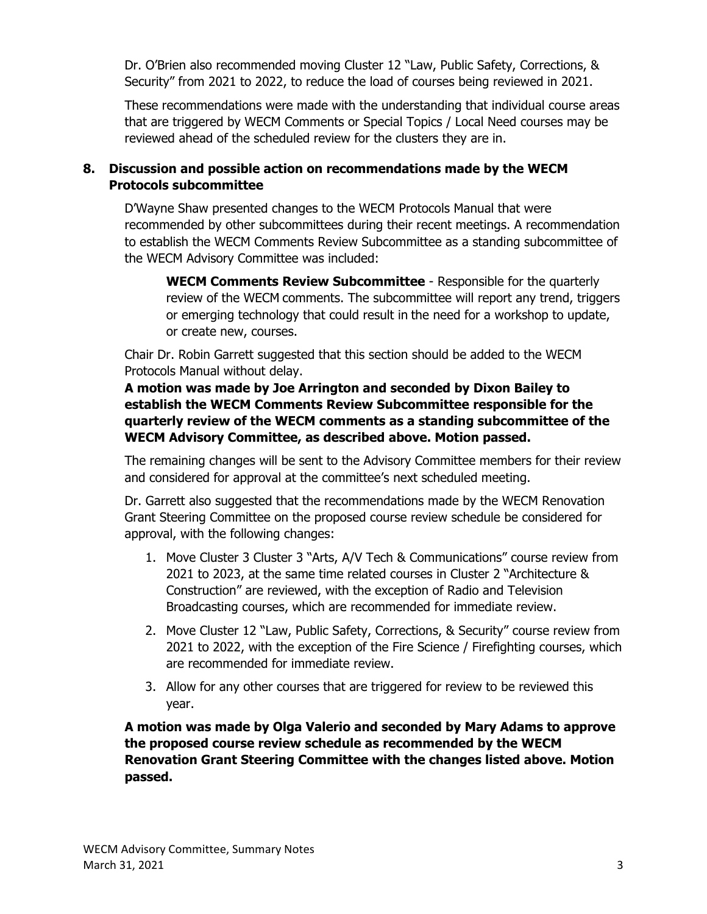Dr. O'Brien also recommended moving Cluster 12 "Law, Public Safety, Corrections, & Security" from 2021 to 2022, to reduce the load of courses being reviewed in 2021.

These recommendations were made with the understanding that individual course areas that are triggered by WECM Comments or Special Topics / Local Need courses may be reviewed ahead of the scheduled review for the clusters they are in.

# **8. Discussion and possible action on recommendations made by the WECM Protocols subcommittee**

D'Wayne Shaw presented changes to the WECM Protocols Manual that were recommended by other subcommittees during their recent meetings. A recommendation to establish the WECM Comments Review Subcommittee as a standing subcommittee of the WECM Advisory Committee was included:

**WECM Comments Review Subcommittee** - Responsible for the quarterly review of the WECM comments. The subcommittee will report any trend, triggers or emerging technology that could result in the need for a workshop to update, or create new, courses.

Chair Dr. Robin Garrett suggested that this section should be added to the WECM Protocols Manual without delay.

# **A motion was made by Joe Arrington and seconded by Dixon Bailey to establish the WECM Comments Review Subcommittee responsible for the quarterly review of the WECM comments as a standing subcommittee of the WECM Advisory Committee, as described above. Motion passed.**

The remaining changes will be sent to the Advisory Committee members for their review and considered for approval at the committee's next scheduled meeting.

Dr. Garrett also suggested that the recommendations made by the WECM Renovation Grant Steering Committee on the proposed course review schedule be considered for approval, with the following changes:

- 1. Move Cluster 3 Cluster 3 "Arts, A/V Tech & Communications" course review from 2021 to 2023, at the same time related courses in Cluster 2 "Architecture & Construction" are reviewed, with the exception of Radio and Television Broadcasting courses, which are recommended for immediate review.
- 2. Move Cluster 12 "Law, Public Safety, Corrections, & Security" course review from 2021 to 2022, with the exception of the Fire Science / Firefighting courses, which are recommended for immediate review.
- 3. Allow for any other courses that are triggered for review to be reviewed this year.

**A motion was made by Olga Valerio and seconded by Mary Adams to approve the proposed course review schedule as recommended by the WECM Renovation Grant Steering Committee with the changes listed above. Motion passed.**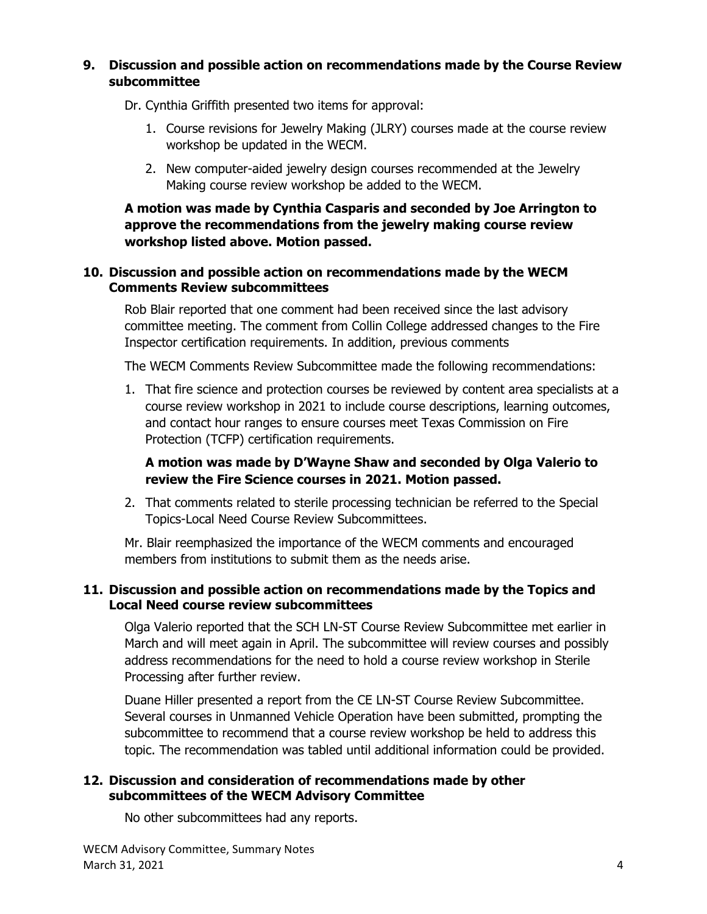#### **9. Discussion and possible action on recommendations made by the Course Review subcommittee**

Dr. Cynthia Griffith presented two items for approval:

- 1. Course revisions for Jewelry Making (JLRY) courses made at the course review workshop be updated in the WECM.
- 2. New computer-aided jewelry design courses recommended at the Jewelry Making course review workshop be added to the WECM.

**A motion was made by Cynthia Casparis and seconded by Joe Arrington to approve the recommendations from the jewelry making course review workshop listed above. Motion passed.**

#### **10. Discussion and possible action on recommendations made by the WECM Comments Review subcommittees**

Rob Blair reported that one comment had been received since the last advisory committee meeting. The comment from Collin College addressed changes to the Fire Inspector certification requirements. In addition, previous comments

The WECM Comments Review Subcommittee made the following recommendations:

1. That fire science and protection courses be reviewed by content area specialists at a course review workshop in 2021 to include course descriptions, learning outcomes, and contact hour ranges to ensure courses meet Texas Commission on Fire Protection (TCFP) certification requirements.

# **A motion was made by D'Wayne Shaw and seconded by Olga Valerio to review the Fire Science courses in 2021. Motion passed.**

2. That comments related to sterile processing technician be referred to the Special Topics-Local Need Course Review Subcommittees.

Mr. Blair reemphasized the importance of the WECM comments and encouraged members from institutions to submit them as the needs arise.

#### **11. Discussion and possible action on recommendations made by the Topics and Local Need course review subcommittees**

Olga Valerio reported that the SCH LN-ST Course Review Subcommittee met earlier in March and will meet again in April. The subcommittee will review courses and possibly address recommendations for the need to hold a course review workshop in Sterile Processing after further review.

Duane Hiller presented a report from the CE LN-ST Course Review Subcommittee. Several courses in Unmanned Vehicle Operation have been submitted, prompting the subcommittee to recommend that a course review workshop be held to address this topic. The recommendation was tabled until additional information could be provided.

#### **12. Discussion and consideration of recommendations made by other subcommittees of the WECM Advisory Committee**

No other subcommittees had any reports.